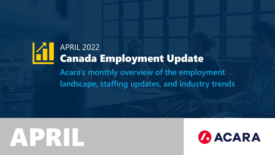### APRIL 2022 Canada Employment Update **Acara's monthly overview of the employment landscape, staffing updates, and industry trends**

# **APRIL**

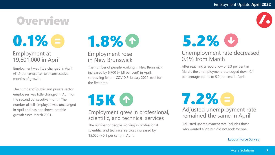## **Overview**

## $0.1\%$ e

### Employment at 19,601,000 in April

Employment was little changed in April (61.9 per cent) after two consecutive months of growth.

The number of public and private sector employees was little changed in April for the second consecutive month. The number of self-employed was unchanged in April and has not shown notable growth since March 2021.



#### Employment rose in New Brunswick

The number of people working in New Brunswick increased by 6,700 (+1.8 per cent) in April, surpassing its pre-COVID February 2020 level for the first time.

**15K O** 

#### Employment grew in professional, scientific, and technical services

The number of people working in professional, scientific, and technical services increased by 15,000 (+0.9 per cent) in April.



### Unemployment rate decreased 0.1% from March

After reaching a record low of 5.3 per cent in March, the unemployment rate edged down 0.1 per centage points to 5.2 per cent in April.

Adjusted unemployment rate remained the same in April 7.2%

Adjusted unemployment rate includes those who wanted a job but did not look for one.

#### [Labour Force Survey](https://www150.statcan.gc.ca/n1/daily-quotidien/220506/dq220506a-eng.htm)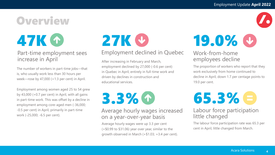## **Overview**

## **47K O**

### Part-time employment sees increase in April

The number of workers in part-time jobs—that is, who usually work less than 30 hours per week—rose by 47,000 (+1.3 per cent) in April.

Employment among women aged 25 to 54 grew by 43,000 (+0.7 per cent) in April, with all gains in part-time work. This was offset by a decline in employment among core-aged men (-36,000; -0.5 per cent) in April, primarily in part-time work (-25,000; -6.5 per cent).

## **27K &**

### Employment declined in Quebec

After increasing in February and March, employment declined by 27,000 (-0.6 per cent) in Quebec in April, entirely in full-time work and driven by declines in construction and educational services.

Average hourly wages increased 3.3%

### on a year-over-year basis

Average hourly wages were up 3.3 per cent (+\$0.99 to \$31.06) year over year, similar to the growth observed in March (+\$1.03; +3.4 per cent).

## **19.0% &**

### Work-from-home employees decline

The proportion of workers who report that they work exclusively from home continued to decline in April, down 1.7 per centage points to 19.0 per cent.



### Labour force participation little changed

The labour force participation rate was 65.3 per cent in April, little changed from March.

**4**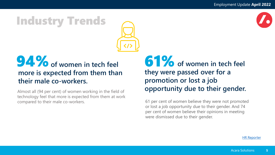### Industry Trends



### **94%** of women in tech feel **more is expected from them than their male co-workers.**

Almost all (94 per cent) of women working in the field of technology feel that more is expected from them at work compared to their male co-workers.

**61%** of women in tech feel **they were passed over for a promotion or lost a job opportunity due to their gender.** 

61 per cent of women believe they were not promoted or lost a job opportunity due to their gender. And 74 per cent of women believe their opinions in meeting were dismissed due to their gender.